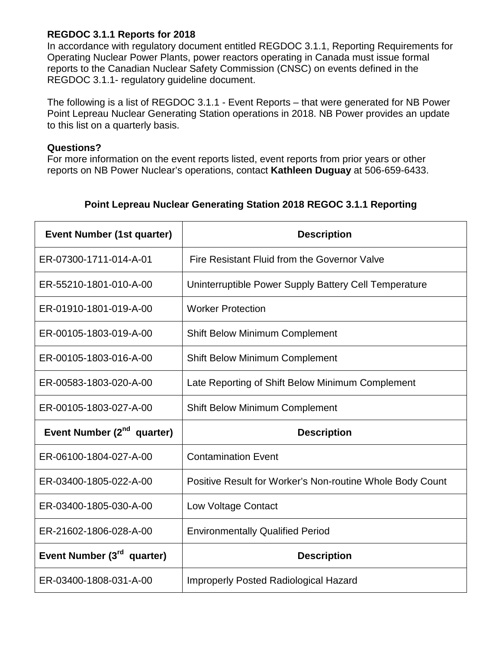## **REGDOC 3.1.1 Reports for 2018**

In accordance with regulatory document entitled REGDOC 3.1.1, Reporting Requirements for Operating Nuclear Power Plants, power reactors operating in Canada must issue formal reports to the Canadian Nuclear Safety Commission (CNSC) on events defined in the REGDOC 3.1.1- regulatory guideline document.

The following is a list of REGDOC 3.1.1 - Event Reports – that were generated for NB Power Point Lepreau Nuclear Generating Station operations in 2018. NB Power provides an update to this list on a quarterly basis.

## **Questions?**

For more information on the event reports listed, event reports from prior years or other reports on NB Power Nuclear's operations, contact **Kathleen Duguay** at 506-659-6433.

## **Point Lepreau Nuclear Generating Station 2018 REGOC 3.1.1 Reporting**

| <b>Event Number (1st quarter)</b>      | <b>Description</b>                                        |
|----------------------------------------|-----------------------------------------------------------|
| ER-07300-1711-014-A-01                 | Fire Resistant Fluid from the Governor Valve              |
| ER-55210-1801-010-A-00                 | Uninterruptible Power Supply Battery Cell Temperature     |
| ER-01910-1801-019-A-00                 | <b>Worker Protection</b>                                  |
| ER-00105-1803-019-A-00                 | <b>Shift Below Minimum Complement</b>                     |
| ER-00105-1803-016-A-00                 | <b>Shift Below Minimum Complement</b>                     |
| ER-00583-1803-020-A-00                 | Late Reporting of Shift Below Minimum Complement          |
| ER-00105-1803-027-A-00                 | <b>Shift Below Minimum Complement</b>                     |
| Event Number (2 <sup>nd</sup> quarter) | <b>Description</b>                                        |
| ER-06100-1804-027-A-00                 | <b>Contamination Event</b>                                |
| ER-03400-1805-022-A-00                 | Positive Result for Worker's Non-routine Whole Body Count |
| ER-03400-1805-030-A-00                 | Low Voltage Contact                                       |
| ER-21602-1806-028-A-00                 | <b>Environmentally Qualified Period</b>                   |
| Event Number (3 <sup>rd</sup> quarter) | <b>Description</b>                                        |
| ER-03400-1808-031-A-00                 | <b>Improperly Posted Radiological Hazard</b>              |